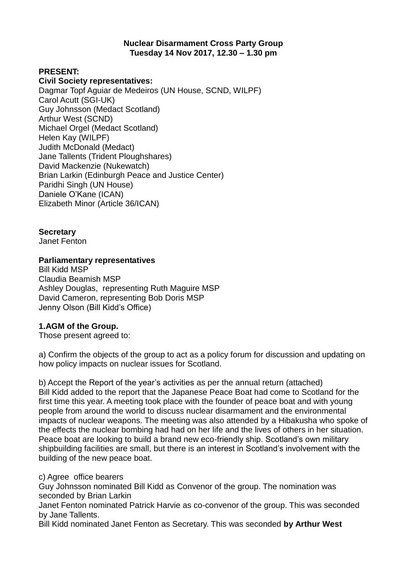#### **Nuclear Disarmament Cross Party Group Tuesday 14 Nov 2017, 12.30 – 1.30 pm**

## **PRESENT:**

#### **Civil Society representatives:**

Dagmar Topf Aguiar de Medeiros (UN House, SCND, WILPF) Carol Acutt (SGI-UK) Guy Johnsson (Medact Scotland) Arthur West (SCND) Michael Orgel (Medact Scotland) Helen Kay (WILPF) Judith McDonald (Medact) Jane Tallents (Trident Ploughshares) David Mackenzie (Nukewatch) Brian Larkin (Edinburgh Peace and Justice Center) Paridhi Singh (UN House) Daniele O'Kane (ICAN) Elizabeth Minor (Article 36/ICAN)

**Secretary**  Janet Fenton

#### **Parliamentary representatives**

Bill Kidd MSP Claudia Beamish MSP Ashley Douglas, representing Ruth Maguire MSP David Cameron, representing Bob Doris MSP Jenny Olson (Bill Kidd's Office)

#### **1.AGM of the Group.**

Those present agreed to:

a) Confirm the objects of the group to act as a policy forum for discussion and updating on how policy impacts on nuclear issues for Scotland.

b) Accept the Report of the year's activities as per the annual return (attached) Bill Kidd added to the report that the Japanese Peace Boat had come to Scotland for the first time this year. A meeting took place with the founder of peace boat and with young people from around the world to discuss nuclear disarmament and the environmental impacts of nuclear weapons. The meeting was also attended by a Hibakusha who spoke of the effects the nuclear bombing had had on her life and the lives of others in her situation. Peace boat are looking to build a brand new eco-friendly ship. Scotland's own military shipbuilding facilities are small, but there is an interest in Scotland's involvement with the building of the new peace boat.

#### c) Agree office bearers

Guy Johnsson nominated Bill Kidd as Convenor of the group. The nomination was seconded by Brian Larkin

Janet Fenton nominated Patrick Harvie as co-convenor of the group. This was seconded by Jane Tallents.

Bill Kidd nominated Janet Fenton as Secretary. This was seconded **by Arthur West**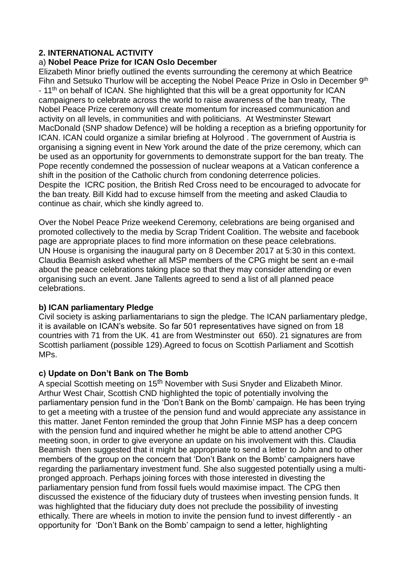## **2. INTERNATIONAL ACTIVITY**

#### a) **Nobel Peace Prize for ICAN Oslo December**

Elizabeth Minor briefly outlined the events surrounding the ceremony at which Beatrice Fihn and Setsuko Thurlow will be accepting the Nobel Peace Prize in Oslo in December 9<sup>th</sup> - 11<sup>th</sup> on behalf of ICAN. She highlighted that this will be a great opportunity for ICAN campaigners to celebrate across the world to raise awareness of the ban treaty, The Nobel Peace Prize ceremony will create momentum for increased communication and activity on all levels, in communities and with politicians. At Westminster Stewart MacDonald (SNP shadow Defence) will be holding a reception as a briefing opportunity for ICAN. ICAN could organize a similar briefing at Holyrood . The government of Austria is organising a signing event in New York around the date of the prize ceremony, which can be used as an opportunity for governments to demonstrate support for the ban treaty. The Pope recently condemned the possession of nuclear weapons at a Vatican conference a shift in the position of the Catholic church from condoning deterrence policies. Despite the ICRC position, the British Red Cross need to be encouraged to advocate for the ban treaty. Bill Kidd had to excuse himself from the meeting and asked Claudia to continue as chair, which she kindly agreed to.

Over the Nobel Peace Prize weekend Ceremony, celebrations are being organised and promoted collectively to the media by Scrap Trident Coalition. The website and facebook page are appropriate places to find more information on these peace celebrations. UN House is organising the inaugural party on 8 December 2017 at 5:30 in this context. Claudia Beamish asked whether all MSP members of the CPG might be sent an e-mail about the peace celebrations taking place so that they may consider attending or even organising such an event. Jane Tallents agreed to send a list of all planned peace celebrations.

#### **b) ICAN parliamentary Pledge**

Civil society is asking parliamentarians to sign the pledge. The ICAN parliamentary pledge, it is available on ICAN's website. So far 501 representatives have signed on from 18 countries with 71 from the UK. 41 are from Westminster out 650). 21 signatures are from Scottish parliament (possible 129).Agreed to focus on Scottish Parliament and Scottish MPs.

#### **c) Update on Don't Bank on The Bomb**

A special Scottish meeting on 15<sup>th</sup> November with Susi Snyder and Elizabeth Minor. Arthur West Chair, Scottish CND highlighted the topic of potentially involving the parliamentary pension fund in the 'Don't Bank on the Bomb' campaign. He has been trying to get a meeting with a trustee of the pension fund and would appreciate any assistance in this matter. Janet Fenton reminded the group that John Finnie MSP has a deep concern with the pension fund and inquired whether he might be able to attend another CPG meeting soon, in order to give everyone an update on his involvement with this. Claudia Beamish then suggested that it might be appropriate to send a letter to John and to other members of the group on the concern that 'Don't Bank on the Bomb' campaigners have regarding the parliamentary investment fund. She also suggested potentially using a multipronged approach. Perhaps joining forces with those interested in divesting the parliamentary pension fund from fossil fuels would maximise impact. The CPG then discussed the existence of the fiduciary duty of trustees when investing pension funds. It was highlighted that the fiduciary duty does not preclude the possibility of investing ethically. There are wheels in motion to invite the pension fund to invest differently - an opportunity for 'Don't Bank on the Bomb' campaign to send a letter, highlighting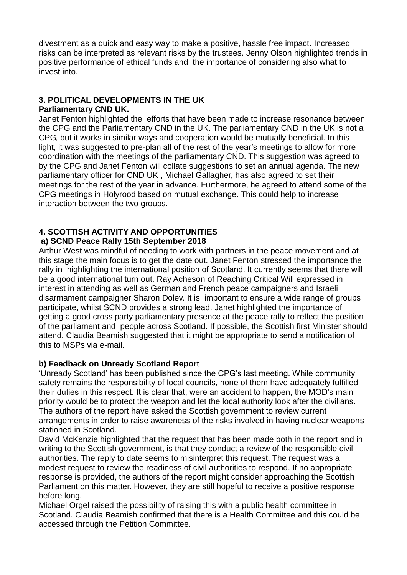divestment as a quick and easy way to make a positive, hassle free impact. Increased risks can be interpreted as relevant risks by the trustees. Jenny Olson highlighted trends in positive performance of ethical funds and the importance of considering also what to invest into.

## **3. POLITICAL DEVELOPMENTS IN THE UK Parliamentary CND UK.**

Janet Fenton highlighted the efforts that have been made to increase resonance between the CPG and the Parliamentary CND in the UK. The parliamentary CND in the UK is not a CPG, but it works in similar ways and cooperation would be mutually beneficial. In this light, it was suggested to pre-plan all of the rest of the year's meetings to allow for more coordination with the meetings of the parliamentary CND. This suggestion was agreed to by the CPG and Janet Fenton will collate suggestions to set an annual agenda. The new parliamentary officer for CND UK , Michael Gallagher, has also agreed to set their meetings for the rest of the year in advance. Furthermore, he agreed to attend some of the CPG meetings in Holyrood based on mutual exchange. This could help to increase interaction between the two groups.

# **4. SCOTTISH ACTIVITY AND OPPORTUNITIES**

# **a) SCND Peace Rally 15th September 2018**

Arthur West was mindful of needing to work with partners in the peace movement and at this stage the main focus is to get the date out. Janet Fenton stressed the importance the rally in highlighting the international position of Scotland. It currently seems that there will be a good international turn out. Ray Acheson of Reaching Critical Will expressed in interest in attending as well as German and French peace campaigners and Israeli disarmament campaigner Sharon Dolev. It is important to ensure a wide range of groups participate, whilst SCND provides a strong lead. Janet highlighted the importance of getting a good cross party parliamentary presence at the peace rally to reflect the position of the parliament and people across Scotland. If possible, the Scottish first Minister should attend. Claudia Beamish suggested that it might be appropriate to send a notification of this to MSPs via e-mail.

# **b) Feedback on Unready Scotland Repor**t

'Unready Scotland' has been published since the CPG's last meeting. While community safety remains the responsibility of local councils, none of them have adequately fulfilled their duties in this respect. It is clear that, were an accident to happen, the MOD's main priority would be to protect the weapon and let the local authority look after the civilians. The authors of the report have asked the Scottish government to review current arrangements in order to raise awareness of the risks involved in having nuclear weapons stationed in Scotland.

David McKenzie highlighted that the request that has been made both in the report and in writing to the Scottish government, is that they conduct a review of the responsible civil authorities. The reply to date seems to misinterpret this request. The request was a modest request to review the readiness of civil authorities to respond. If no appropriate response is provided, the authors of the report might consider approaching the Scottish Parliament on this matter. However, they are still hopeful to receive a positive response before long.

Michael Orgel raised the possibility of raising this with a public health committee in Scotland. Claudia Beamish confirmed that there is a Health Committee and this could be accessed through the Petition Committee.